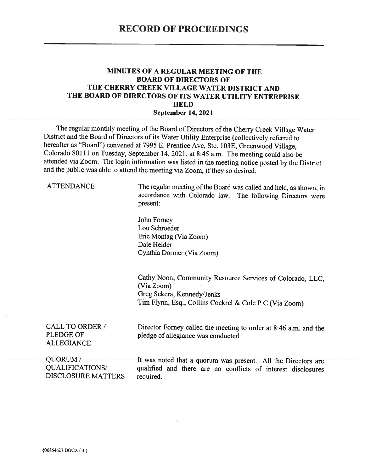#### MINUTES OF A REGULAR MEETING OF THE **BOARD OF DIRECTORS OF** THE CHERRY CREEK VILLAGE WATER DISTRICT AND THE BOARD OF DIRECTORS OF ITS WATER UTILITY ENTERPRISE **HELD September 14, 2021**

The regular monthly meeting of the Board of Directors of the Cherry Creek Village Water District and the Board of Directors of its Water Utility Enterprise (collectively referred to hereafter as "Board") convened at 7995 E. Prentice Ave, Ste. 103E, Greenwood Village, Colorado 80111 on Tuesday, September 14, 2021, at 8:45 a.m. The meeting could also be attended via Zoom. The login information was listed in the meeting notice posted by the District and the public was able to attend the meeting via Zoom, if they so desired.

**ATTENDANCE** 

The regular meeting of the Board was called and held, as shown, in accordance with Colorado law. The following Directors were present:

John Forney Lou Schroeder Eric Montag (Via Zoom) Dale Heider Cynthia Dormer (Via Zoom)

Cathy Noon, Community Resource Services of Colorado, LLC. (Via Zoom) Greg Sekera, Kennedy/Jenks Tim Flynn, Esq., Collins Cockrel & Cole P.C (Via Zoom)

**CALL TO ORDER / PLEDGE OF ALLEGIANCE** 

Director Forney called the meeting to order at 8:46 a.m. and the pledge of allegiance was conducted.

QUORUM/ **QUALIFICATIONS/ DISCLOSURE MATTERS**  It was noted that a quorum was present. All the Directors are qualified and there are no conflicts of interest disclosures required.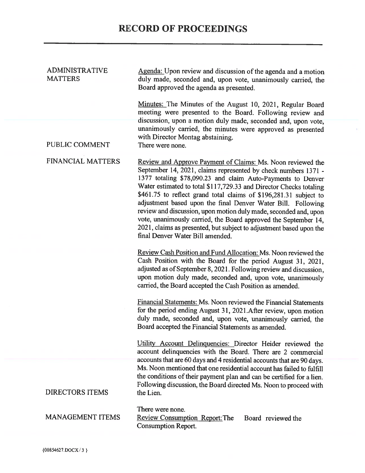| <b>ADMINISTRATIVE</b><br><b>MATTERS</b> | Agenda: Upon review and discussion of the agenda and a motion<br>duly made, seconded and, upon vote, unanimously carried, the<br>Board approved the agenda as presented.                                                                                                                                                                                                                                                                                                                                                                                                                                                                                  |  |  |
|-----------------------------------------|-----------------------------------------------------------------------------------------------------------------------------------------------------------------------------------------------------------------------------------------------------------------------------------------------------------------------------------------------------------------------------------------------------------------------------------------------------------------------------------------------------------------------------------------------------------------------------------------------------------------------------------------------------------|--|--|
|                                         | Minutes: The Minutes of the August 10, 2021, Regular Board<br>meeting were presented to the Board. Following review and<br>discussion, upon a motion duly made, seconded and, upon vote,<br>unanimously carried, the minutes were approved as presented<br>with Director Montag abstaining.                                                                                                                                                                                                                                                                                                                                                               |  |  |
| PUBLIC COMMENT                          | There were none.                                                                                                                                                                                                                                                                                                                                                                                                                                                                                                                                                                                                                                          |  |  |
| <b>FINANCIAL MATTERS</b>                | Review and Approve Payment of Claims: Ms. Noon reviewed the<br>September 14, 2021, claims represented by check numbers 1371 -<br>1377 totaling \$78,090.23 and claim Auto-Payments to Denver<br>Water estimated to total \$117,729.33 and Director Checks totaling<br>\$461.75 to reflect grand total claims of \$196,281.31 subject to<br>adjustment based upon the final Denver Water Bill. Following<br>review and discussion, upon motion duly made, seconded and, upon<br>vote, unanimously carried, the Board approved the September 14,<br>2021, claims as presented, but subject to adjustment based upon the<br>final Denver Water Bill amended. |  |  |
|                                         | Review Cash Position and Fund Allocation: Ms. Noon reviewed the<br>Cash Position with the Board for the period August 31, 2021,<br>adjusted as of September 8, 2021. Following review and discussion,<br>upon motion duly made, seconded and, upon vote, unanimously<br>carried, the Board accepted the Cash Position as amended.                                                                                                                                                                                                                                                                                                                         |  |  |
|                                         | Financial Statements: Ms. Noon reviewed the Financial Statements<br>for the period ending August 31, 2021.After review, upon motion<br>duly made, seconded and, upon vote, unanimously carried, the<br>Board accepted the Financial Statements as amended.                                                                                                                                                                                                                                                                                                                                                                                                |  |  |
|                                         | Utility Account Delinquencies: Director Heider reviewed the<br>account delinquencies with the Board. There are 2 commercial                                                                                                                                                                                                                                                                                                                                                                                                                                                                                                                               |  |  |
| <b>DIRECTORS ITEMS</b>                  | accounts that are 60 days and 4 residential accounts that are 90 days.<br>Ms. Noon mentioned that one residential account has failed to fulfill<br>the conditions of their payment plan and can be certified for a lien.<br>Following discussion, the Board directed Ms. Noon to proceed with<br>the Lien.                                                                                                                                                                                                                                                                                                                                                |  |  |
| <b>MANAGEMENT ITEMS</b>                 | There were none.<br>Review Consumption Report: The<br>Board reviewed the<br>Consumption Report.                                                                                                                                                                                                                                                                                                                                                                                                                                                                                                                                                           |  |  |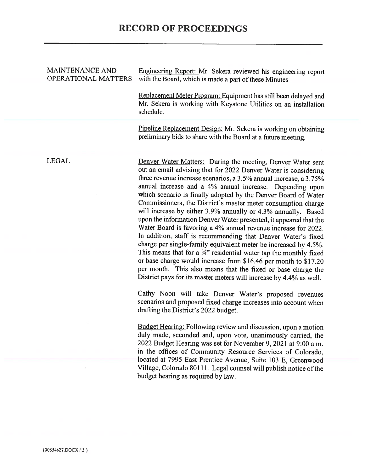#### **MAINTENANCE AND OPERATIONAL MATTERS**

Engineering Report: Mr. Sekera reviewed his engineering report with the Board, which is made a part of these Minutes

Replacement Meter Program: Equipment has still been delayed and Mr. Sekera is working with Keystone Utilities on an installation schedule.

Pipeline Replacement Design: Mr. Sekera is working on obtaining preliminary bids to share with the Board at a future meeting.

**LEGAL** 

Denver Water Matters: During the meeting, Denver Water sent out an email advising that for 2022 Denver Water is considering three revenue increase scenarios, a  $3.5\%$  annual increase, a  $3.75\%$ annual increase and a 4% annual increase. Depending upon which scenario is finally adopted by the Denver Board of Water Commissioners, the District's master meter consumption charge will increase by either 3.9% annually or 4.3% annually. Based upon the information Denver Water presented, it appeared that the Water Board is favoring a 4% annual revenue increase for 2022. In addition, staff is recommending that Denver Water's fixed charge per single-family equivalent meter be increased by 4.5%. This means that for a  $\frac{3}{4}$ " residential water tap the monthly fixed or base charge would increase from \$16.46 per month to \$17.20 per month. This also means that the fixed or base charge the District pays for its master meters will increase by 4.4% as well.

Cathy Noon will take Denver Water's proposed revenues scenarios and proposed fixed charge increases into account when drafting the District's 2022 budget.

Budget Hearing: Following review and discussion, upon a motion duly made, seconded and, upon vote, unanimously carried, the 2022 Budget Hearing was set for November 9, 2021 at 9:00 a.m. in the offices of Community Resource Services of Colorado, located at 7995 East Prentice Avenue, Suite 103 E, Greenwood Village, Colorado 80111. Legal counsel will publish notice of the budget hearing as required by law.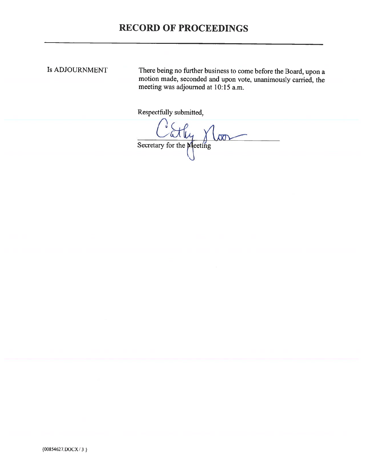# **RECORD OF PROCEEDINGS**

## Is ADJOURNMENT

There being no further business to come before the Board, upon a motion made, seconded and upon vote, unanimously carried, the meeting was adjourned at 10:15 a.m.

Respectfully submitted,

Cathy Noor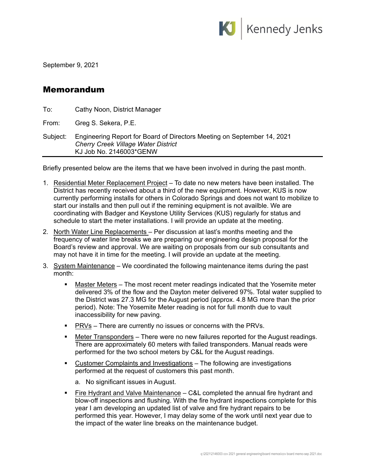

September 9, 2021

## Memorandum

| To:   | Cathy Noon, District Manager                                  |  |  |  |
|-------|---------------------------------------------------------------|--|--|--|
| From: | Greg S. Sekera, P.E.                                          |  |  |  |
|       | Subject: Engineering Report for Board of Directors Meeting of |  |  |  |

| Subject: | Engineering Report for Board of Directors Meeting on September 14, 2021 |
|----------|-------------------------------------------------------------------------|
|          | <b>Cherry Creek Village Water District</b>                              |
|          | KJ Job No. 2146003*GENW                                                 |

Briefly presented below are the items that we have been involved in during the past month.

- 1. Residential Meter Replacement Project To date no new meters have been installed. The District has recently received about a third of the new equipment. However, KUS is now currently performing installs for others in Colorado Springs and does not want to mobilize to start our installs and then pull out if the remining equipment is not availble. We are coordinating with Badger and Keystone Utility Services (KUS) regularly for status and schedule to start the meter installations. I will provide an update at the meeting.
- 2. North Water Line Replacements Per discussion at last's months meeting and the frequency of water line breaks we are preparing our engineering design proposal for the Board's review and approval. We are waiting on proposals from our sub consultants and may not have it in time for the meeting. I will provide an update at the meeting.
- 3. System Maintenance We coordinated the following maintenance items during the past month:
	- Master Meters The most recent meter readings indicated that the Yosemite meter delivered 3% of the flow and the Dayton meter delivered 97%. Total water supplied to the District was 27.3 MG for the August period (approx. 4.8 MG more than the prior period). Note: The Yosemite Meter reading is not for full month due to vault inaccessibility for new paving.
	- **PRVs** There are currently no issues or concerns with the PRVs.
	- Meter Transponders There were no new failures reported for the August readings. There are approximately 60 meters with failed transponders. Manual reads were performed for the two school meters by C&L for the August readings.
	- Customer Complaints and Investigations The following are investigations performed at the request of customers this past month.
		- a. No significant issues in August.
	- **Fire Hydrant and Valve Maintenance C&L completed the annual fire hydrant and** blow-off inspections and flushing. With the fire hydrant inspections complete for this year I am developing an updated list of valve and fire hydrant repairs to be performed this year. However, I may delay some of the work until next year due to the impact of the water line breaks on the maintenance budget.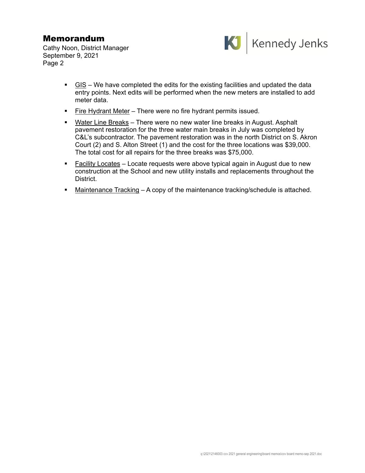# Memorandum

Cathy Noon, District Manager September 9, 2021 Page 2



- GIS We have completed the edits for the existing facilities and updated the data entry points. Next edits will be performed when the new meters are installed to add meter data.
- Fire Hydrant Meter There were no fire hydrant permits issued.
- Water Line Breaks There were no new water line breaks in August. Asphalt pavement restoration for the three water main breaks in July was completed by C&L's subcontractor. The pavement restoration was in the north District on S. Akron Court (2) and S. Alton Street (1) and the cost for the three locations was \$39,000. The total cost for all repairs for the three breaks was \$75,000.
- Facility Locates Locate requests were above typical again in August due to new construction at the School and new utility installs and replacements throughout the District.
- Maintenance Tracking A copy of the maintenance tracking/schedule is attached.